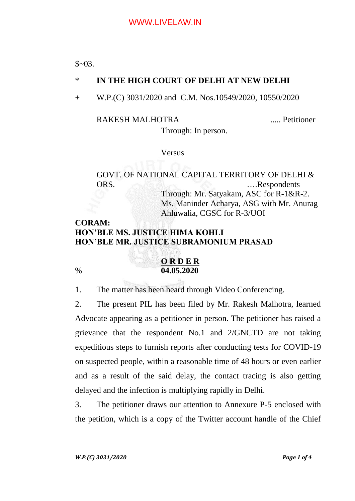$$~03.$ 

## \* **IN THE HIGH COURT OF DELHI AT NEW DELHI**

+ W.P.(C) 3031/2020 and C.M. Nos.10549/2020, 10550/2020

#### RAKESH MALHOTRA ..... Petitioner

Through: In person.

Versus

GOVT. OF NATIONAL CAPITAL TERRITORY OF DELHI & ORS. ….Respondents Through: Mr. Satyakam, ASC for R-1&R-2. Ms. Maninder Acharya, ASG with Mr. Anurag Ahluwalia, CGSC for R-3/UOI

# **CORAM: HON'BLE MS. JUSTICE HIMA KOHLI HON'BLE MR. JUSTICE SUBRAMONIUM PRASAD**



1. The matter has been heard through Video Conferencing.

2. The present PIL has been filed by Mr. Rakesh Malhotra, learned Advocate appearing as a petitioner in person. The petitioner has raised a grievance that the respondent No.1 and 2/GNCTD are not taking expeditious steps to furnish reports after conducting tests for COVID-19 on suspected people, within a reasonable time of 48 hours or even earlier and as a result of the said delay, the contact tracing is also getting delayed and the infection is multiplying rapidly in Delhi.

3. The petitioner draws our attention to Annexure P-5 enclosed with the petition, which is a copy of the Twitter account handle of the Chief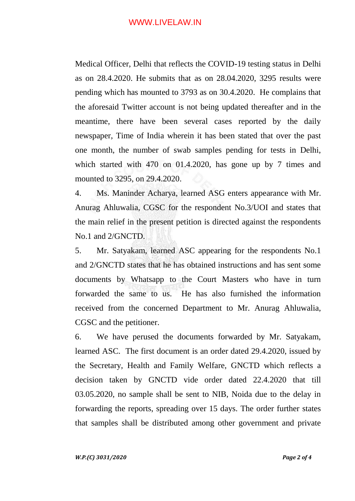## WWW.LIVELAW.IN

Medical Officer, Delhi that reflects the COVID-19 testing status in Delhi as on 28.4.2020. He submits that as on 28.04.2020, 3295 results were pending which has mounted to 3793 as on 30.4.2020. He complains that the aforesaid Twitter account is not being updated thereafter and in the meantime, there have been several cases reported by the daily newspaper, Time of India wherein it has been stated that over the past one month, the number of swab samples pending for tests in Delhi, which started with 470 on 01.4.2020, has gone up by 7 times and mounted to 3295, on 29.4.2020.

4. Ms. Maninder Acharya, learned ASG enters appearance with Mr. Anurag Ahluwalia, CGSC for the respondent No.3/UOI and states that the main relief in the present petition is directed against the respondents No.1 and 2/GNCTD.

5. Mr. Satyakam, learned ASC appearing for the respondents No.1 and 2/GNCTD states that he has obtained instructions and has sent some documents by Whatsapp to the Court Masters who have in turn forwarded the same to us. He has also furnished the information received from the concerned Department to Mr. Anurag Ahluwalia, CGSC and the petitioner.

6. We have perused the documents forwarded by Mr. Satyakam, learned ASC. The first document is an order dated 29.4.2020, issued by the Secretary, Health and Family Welfare, GNCTD which reflects a decision taken by GNCTD vide order dated 22.4.2020 that till 03.05.2020, no sample shall be sent to NIB, Noida due to the delay in forwarding the reports, spreading over 15 days. The order further states that samples shall be distributed among other government and private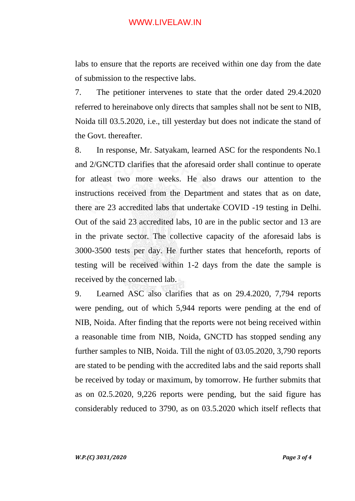## WWW.LIVELAW.IN

labs to ensure that the reports are received within one day from the date of submission to the respective labs.

7. The petitioner intervenes to state that the order dated 29.4.2020 referred to hereinabove only directs that samples shall not be sent to NIB, Noida till 03.5.2020, i.e., till yesterday but does not indicate the stand of the Govt. thereafter.

8. In response, Mr. Satyakam, learned ASC for the respondents No.1 and 2/GNCTD clarifies that the aforesaid order shall continue to operate for atleast two more weeks. He also draws our attention to the instructions received from the Department and states that as on date, there are 23 accredited labs that undertake COVID -19 testing in Delhi. Out of the said 23 accredited labs, 10 are in the public sector and 13 are in the private sector. The collective capacity of the aforesaid labs is 3000-3500 tests per day. He further states that henceforth, reports of testing will be received within 1-2 days from the date the sample is received by the concerned lab.

9. Learned ASC also clarifies that as on 29.4.2020, 7,794 reports were pending, out of which 5,944 reports were pending at the end of NIB, Noida. After finding that the reports were not being received within a reasonable time from NIB, Noida, GNCTD has stopped sending any further samples to NIB, Noida. Till the night of 03.05.2020, 3,790 reports are stated to be pending with the accredited labs and the said reports shall be received by today or maximum, by tomorrow. He further submits that as on 02.5.2020, 9,226 reports were pending, but the said figure has considerably reduced to 3790, as on 03.5.2020 which itself reflects that